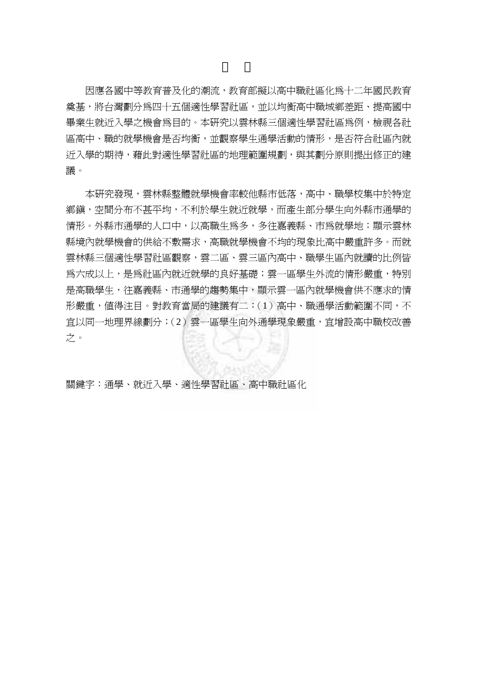因應各國中等教育普及化的潮流,教育部擬以高中職社區化為十二年國民教育 奠基,將台灣劃分為四十五個適性學習社區,並以均衡高中職城鄉差距、提高國中 畢業生就近入學之機會為目的。本研究以雲林縣三個適性學習社區為例,檢視各社 區高中、職的就學機會是否均衡,並觀察學生通學活動的情形,是否符合社區內就 近入學的期待,藉此對適性學習社區的地理範圍規劃,與其劃分原則提出修正的建 議。

本研究發現,雲林縣整體就學機會率較他縣市低落,高中、職學校集中於特定 鄉鎮,空間分布不甚平均,不利於學生就近就學,而產生部分學生向外縣市通學的 情形。外縣市通學的人口中,以高職生為多,多往嘉義縣、市為就學地;顯示雲林 縣境內就學機會的供給不敷需求,高職就學機會不均的現象比高中嚴重許多。而就 雲林縣三個適性學習社區觀察,雲二區、雲三區內高中、職學生區內就讀的比例皆 為六成以上,是為社區內就近就學的良好基礎;雲一區學生外流的情形嚴重,特別 是高職學生,往嘉義縣、市通學的趨勢集中,顯示雲一區內就學機會供不應求的情 形嚴重,値得注目。對教育當局的建議有二:(1)高中、職通學活動範圍不同,不 宜以同一地理界線劃分;(2)雲一區學生向外通學現象嚴重,宜增設高中職校改善 之。

關鍵字:通學、就近入學、適性學習社區、高中職社區化